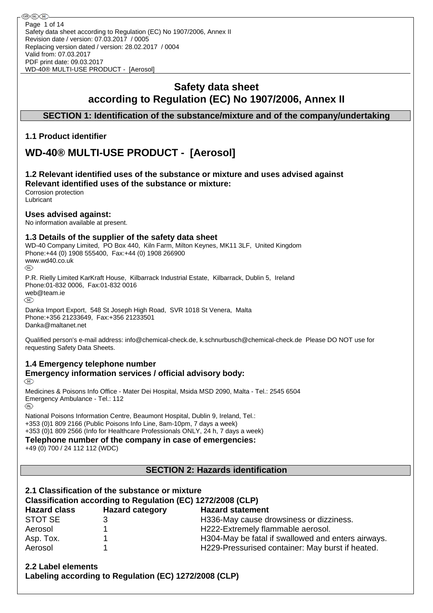## **Safety data sheet according to Regulation (EC) No 1907/2006, Annex II**

## **SECTION 1: Identification of the substance/mixture and of the company/undertaking**

## **1.1 Product identifier**

# **WD-40® MULTI-USE PRODUCT - [Aerosol]**

## **1.2 Relevant identified uses of the substance or mixture and uses advised against Relevant identified uses of the substance or mixture:**

Corrosion protection Lubricant

### **Uses advised against:**

No information available at present.

## **1.3 Details of the supplier of the safety data sheet**

WD-40 Company Limited, PO Box 440, Kiln Farm, Milton Keynes, MK11 3LF, United Kingdom Phone:+44 (0) 1908 555400, Fax:+44 (0) 1908 266900 www.wd40.co.uk

P.R. Rielly Limited KarKraft House, Kilbarrack Industrial Estate, Kilbarrack, Dublin 5, Ireland Phone:01-832 0006, Fax:01-832 0016 web@team.ie

Danka Import Export, 548 St Joseph High Road, SVR 1018 St Venera, Malta Phone:+356 21233649, Fax:+356 21233501 Danka@maltanet.net

Qualified person's e-mail address: info@chemical-check.de, k.schnurbusch@chemical-check.de Please DO NOT use for requesting Safety Data Sheets.

## **1.4 Emergency telephone number Emergency information services / official advisory body:**

 $(\overline{M})$ 

Medicines & Poisons Info Office - Mater Dei Hospital, Msida MSD 2090, Malta - Tel.: 2545 6504 Emergency Ambulance - Tel.: 112 (R)

National Poisons Information Centre, Beaumont Hospital, Dublin 9, Ireland, Tel.: +353 (0)1 809 2166 (Public Poisons Info Line, 8am-10pm, 7 days a week) +353 (0)1 809 2566 (Info for Healthcare Professionals ONLY, 24 h, 7 days a week)

**Telephone number of the company in case of emergencies:**

+49 (0) 700 / 24 112 112 (WDC)

## **SECTION 2: Hazards identification**

## **2.1 Classification of the substance or mixture Classification according to Regulation (EC) 1272/2008 (CLP) Hazard class Hazard category Hazard statement** STOT SE 3 3 3 H336-May cause drowsiness or dizziness. Aerosol 1 1 1 H222-Extremely flammable aerosol.

| Aerosol   | H222-Extremely flammable aerosol.                  |
|-----------|----------------------------------------------------|
| Asp. Tox. | H304-May be fatal if swallowed and enters airways. |
| Aerosol   | H229-Pressurised container: May burst if heated.   |

**2.2 Label elements Labeling according to Regulation (EC) 1272/2008 (CLP)**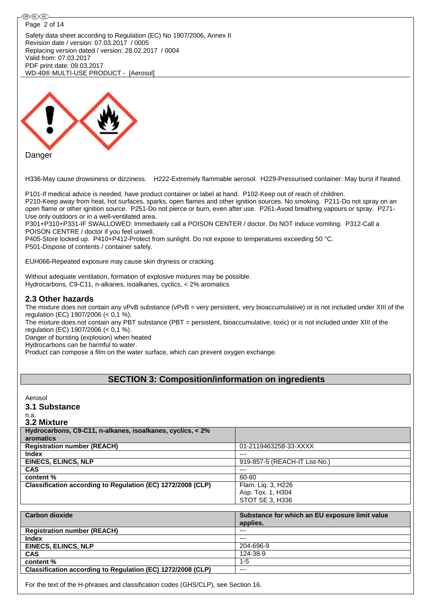#### ֎®© Page 2 of 14Safety data sheet according to Regulation (EC) No 1907/2006, Annex II Revision date / version: 07.03.2017 / 0005 Replacing version dated / version: 28.02.2017 / 0004 Valid from: 07.03.2017 PDF print date: 09.03.2017 WD-40® MULTI-USE PRODUCT - [Aerosol]



H336-May cause drowsiness or dizziness. H222-Extremely flammable aerosol. H229-Pressurised container: May burst if heated.

P101-If medical advice is needed, have product container or label at hand. P102-Keep out of reach of children.

P210-Keep away from heat, hot surfaces, sparks, open flames and other ignition sources. No smoking. P211-Do not spray on an open flame or other ignition source. P251-Do not pierce or burn, even after use. P261-Avoid breathing vapours or spray. P271- Use only outdoors or in a well-ventilated area.

P301+P310+P331-IF SWALLOWED: Immediately call a POISON CENTER / doctor. Do NOT induce vomiting. P312-Call a POISON CENTRE / doctor if you feel unwell.

P405-Store locked up. P410+P412-Protect from sunlight. Do not expose to temperatures exceeding 50 °C. P501-Dispose of contents / container safely.

EUH066-Repeated exposure may cause skin dryness or cracking.

Without adequate ventilation, formation of explosive mixtures may be possible. Hydrocarbons, C9-C11, n-alkanes, isoalkanes, cyclics, < 2% aromatics

## **2.3 Other hazards**

The mixture does not contain any vPvB substance (vPvB = very persistent, very bioaccumulative) or is not included under XIII of the regulation (EC) 1907/2006 (< 0,1 %).

The mixture does not contain any PBT substance (PBT = persistent, bioaccumulative, toxic) or is not included under XIII of the regulation (EC) 1907/2006 (< 0,1 %).

Danger of bursting (explosion) when heated

Hydrocarbons can be harmful to water.

Product can compose a film on the water surface, which can prevent oxygen exchange.

## **SECTION 3: Composition/information on ingredients**

# Aerosol

**3.1 Substance**

#### n.a. **3.2 Mixture**

| Hydrocarbons, C9-C11, n-alkanes, isoalkanes, cyclics, < 2%  |                               |
|-------------------------------------------------------------|-------------------------------|
| aromatics                                                   |                               |
| <b>Registration number (REACH)</b>                          | 01-2119463258-33-XXXX         |
| <b>Index</b>                                                | $---$                         |
| <b>EINECS, ELINCS, NLP</b>                                  | 919-857-5 (REACH-IT List-No.) |
| <b>CAS</b>                                                  | $---$                         |
| content %                                                   | 60-80                         |
| Classification according to Regulation (EC) 1272/2008 (CLP) | Flam. Liq. 3, H226            |
|                                                             | Asp. Tox. 1, H304             |
|                                                             | STOT SE 3, H336               |

| <b>Carbon dioxide</b>                                       | Substance for which an EU exposure limit value<br>applies. |
|-------------------------------------------------------------|------------------------------------------------------------|
| <b>Registration number (REACH)</b>                          | $---$                                                      |
| <b>Index</b>                                                | $---$                                                      |
| <b>EINECS, ELINCS, NLP</b>                                  | 204-696-9                                                  |
| <b>CAS</b>                                                  | 124-38-9                                                   |
| content %                                                   | $1 - 5$                                                    |
| Classification according to Regulation (EC) 1272/2008 (CLP) | $--$                                                       |
|                                                             |                                                            |

For the text of the H-phrases and classification codes (GHS/CLP), see Section 16.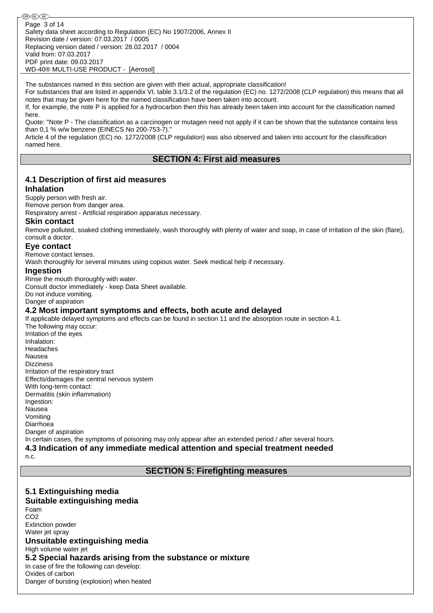֍֎֎ Page 3 of 14Safety data sheet according to Regulation (EC) No 1907/2006, Annex II Revision date / version: 07.03.2017 / 0005 Replacing version dated / version: 28.02.2017 / 0004 Valid from: 07.03.2017 PDF print date: 09.03.2017 WD-40® MULTI-USE PRODUCT - [Aerosol]

The substances named in this section are given with their actual, appropriate classification!

For substances that are listed in appendix VI, table 3.1/3.2 of the regulation (EC) no. 1272/2008 (CLP regulation) this means that all notes that may be given here for the named classification have been taken into account.

If, for example, the note P is applied for a hydrocarbon then this has already been taken into account for the classification named here.

Quote: "Note P - The classification as a carcinogen or mutagen need not apply if it can be shown that the substance contains less than 0,1 % w/w benzene (EINECS No 200-753-7)."

Article 4 of the regulation (EC) no. 1272/2008 (CLP regulation) was also observed and taken into account for the classification named here.

### **SECTION 4: First aid measures**

## **4.1 Description of first aid measures**

#### **Inhalation**

#### Supply person with fresh air.

Remove person from danger area.

Respiratory arrest - Artificial respiration apparatus necessary.

#### **Skin contact**

Remove polluted, soaked clothing immediately, wash thoroughly with plenty of water and soap, in case of irritation of the skin (flare), consult a doctor.

### **Eye contact**

Remove contact lenses.

Wash thoroughly for several minutes using copious water. Seek medical help if necessary.

#### **Ingestion**

Rinse the mouth thoroughly with water. Consult doctor immediately - keep Data Sheet available. Do not induce vomiting. Danger of aspiration

## **4.2 Most important symptoms and effects, both acute and delayed**

If applicable delayed symptoms and effects can be found in section 11 and the absorption route in section 4.1. The following may occur:

Irritation of the eyes Inhalation: Headaches Nausea Dizziness Irritation of the respiratory tract Effects/damages the central nervous system With long-term contact: Dermatitis (skin inflammation) Ingestion: Nausea Vomiting Diarrhoea Danger of aspiration In certain cases, the symptoms of poisoning may only appear after an extended period / after several hours.

**4.3 Indication of any immediate medical attention and special treatment needed** n.c.

**SECTION 5: Firefighting measures**

## **5.1 Extinguishing media**

## **Suitable extinguishing media**

Foam CO2 Extinction powder Water jet spray **Unsuitable extinguishing media** High volume water jet **5.2 Special hazards arising from the substance or mixture** In case of fire the following can develop: Oxides of carbon

Danger of bursting (explosion) when heated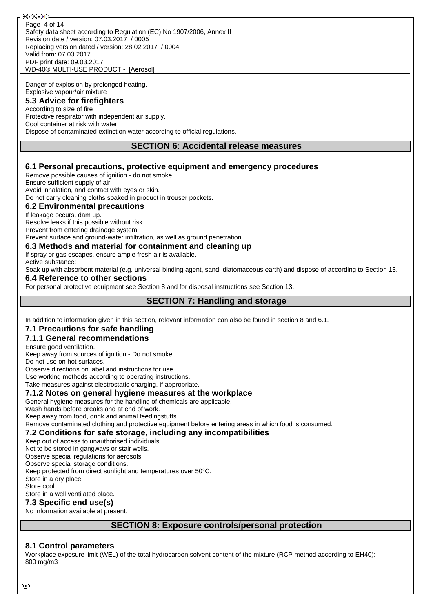Safety data sheet according to Regulation (EC) No 1907/2006, Annex II Revision date / version: 07.03.2017 / 0005 Replacing version dated / version: 28.02.2017 / 0004 Valid from: 07.03.2017 PDF print date: 09.03.2017 WD-40® MULTI-USE PRODUCT - [Aerosol] Page 4 of 14

Danger of explosion by prolonged heating. Explosive vapour/air mixture

## **5.3 Advice for firefighters**

According to size of fire Protective respirator with independent air supply. Cool container at risk with water. Dispose of contaminated extinction water according to official regulations.

### **SECTION 6: Accidental release measures**

### **6.1 Personal precautions, protective equipment and emergency procedures**

Remove possible causes of ignition - do not smoke.

Ensure sufficient supply of air.

Avoid inhalation, and contact with eyes or skin.

Do not carry cleaning cloths soaked in product in trouser pockets.

### **6.2 Environmental precautions**

If leakage occurs, dam up.

Resolve leaks if this possible without risk.

Prevent from entering drainage system.

Prevent surface and ground-water infiltration, as well as ground penetration.

#### **6.3 Methods and material for containment and cleaning up**

If spray or gas escapes, ensure ample fresh air is available.

Active substance:

Soak up with absorbent material (e.g. universal binding agent, sand, diatomaceous earth) and dispose of according to Section 13.

#### **6.4 Reference to other sections**

For personal protective equipment see Section 8 and for disposal instructions see Section 13.

### **SECTION 7: Handling and storage**

In addition to information given in this section, relevant information can also be found in section 8 and 6.1.

#### **7.1 Precautions for safe handling**

### **7.1.1 General recommendations**

Ensure good ventilation.

Keep away from sources of ignition - Do not smoke.

Do not use on hot surfaces.

Observe directions on label and instructions for use.

Use working methods according to operating instructions.

Take measures against electrostatic charging, if appropriate.

### **7.1.2 Notes on general hygiene measures at the workplace**

General hygiene measures for the handling of chemicals are applicable.

Wash hands before breaks and at end of work.

Keep away from food, drink and animal feedingstuffs.

Remove contaminated clothing and protective equipment before entering areas in which food is consumed.

**7.2 Conditions for safe storage, including any incompatibilities**

Keep out of access to unauthorised individuals.

Not to be stored in gangways or stair wells.

Observe special regulations for aerosols!

Observe special storage conditions.

Keep protected from direct sunlight and temperatures over 50°C.

Store in a dry place. Store cool.

Store in a well ventilated place.

## **7.3 Specific end use(s)**

No information available at present.

## **SECTION 8: Exposure controls/personal protection**

## **8.1 Control parameters**

Workplace exposure limit (WEL) of the total hydrocarbon solvent content of the mixture (RCP method according to EH40): 800 mg/m3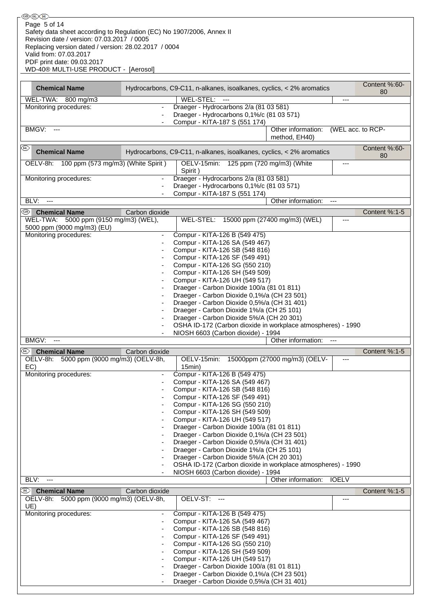| ֎®©                                                                   |                          |                                                                      |                               |                   |               |
|-----------------------------------------------------------------------|--------------------------|----------------------------------------------------------------------|-------------------------------|-------------------|---------------|
| Page 5 of 14                                                          |                          |                                                                      |                               |                   |               |
| Safety data sheet according to Regulation (EC) No 1907/2006, Annex II |                          |                                                                      |                               |                   |               |
|                                                                       |                          |                                                                      |                               |                   |               |
| Revision date / version: 07.03.2017 / 0005                            |                          |                                                                      |                               |                   |               |
| Replacing version dated / version: 28.02.2017 / 0004                  |                          |                                                                      |                               |                   |               |
| Valid from: 07.03.2017                                                |                          |                                                                      |                               |                   |               |
| PDF print date: 09.03.2017                                            |                          |                                                                      |                               |                   |               |
| WD-40® MULTI-USE PRODUCT - [Aerosol]                                  |                          |                                                                      |                               |                   |               |
|                                                                       |                          |                                                                      |                               |                   |               |
|                                                                       |                          |                                                                      |                               |                   | Content %:60- |
| <b>Chemical Name</b>                                                  |                          | Hydrocarbons, C9-C11, n-alkanes, isoalkanes, cyclics, < 2% aromatics |                               |                   | 80            |
|                                                                       |                          | WEL-STEL:<br>$\overline{a}$                                          |                               | ---               |               |
| WEL-TWA: 800 mg/m3                                                    |                          |                                                                      |                               |                   |               |
| Monitoring procedures:                                                | $\blacksquare$           | Draeger - Hydrocarbons 2/a (81 03 581)                               |                               |                   |               |
|                                                                       |                          | Draeger - Hydrocarbons 0,1%/c (81 03 571)                            |                               |                   |               |
|                                                                       |                          | Compur - KITA-187 S (551 174)                                        |                               |                   |               |
| BMGV:<br>$\overline{\phantom{a}}$                                     |                          |                                                                      | Other information:            | (WEL acc. to RCP- |               |
|                                                                       |                          |                                                                      | method, EH40)                 |                   |               |
| ⅏                                                                     |                          |                                                                      |                               |                   |               |
| <b>Chemical Name</b>                                                  |                          | Hydrocarbons, C9-C11, n-alkanes, isoalkanes, cyclics, < 2% aromatics |                               |                   | Content %:60- |
|                                                                       |                          |                                                                      |                               |                   | 80            |
| OELV-8h: 100 ppm (573 mg/m3) (White Spirit)                           |                          | OELV-15min: 125 ppm (720 mg/m3) (White                               |                               | ---               |               |
|                                                                       |                          | Spirit)                                                              |                               |                   |               |
| Monitoring procedures:                                                |                          | Draeger - Hydrocarbons 2/a (81 03 581)                               |                               |                   |               |
|                                                                       |                          | Draeger - Hydrocarbons 0,1%/c (81 03 571)                            |                               |                   |               |
|                                                                       |                          | Compur - KITA-187 S (551 174)                                        |                               |                   |               |
| BLV:<br>$\sim$ $\sim$                                                 |                          |                                                                      | Other information:            | $---$             |               |
|                                                                       |                          |                                                                      |                               |                   |               |
| <sup>5</sup> Chemical Name                                            | Carbon dioxide           |                                                                      |                               |                   | Content %:1-5 |
| WEL-TWA: 5000 ppm (9150 mg/m3) (WEL),                                 |                          | WEL-STEL: 15000 ppm (27400 mg/m3) (WEL)                              |                               | ---               |               |
| 5000 ppm (9000 mg/m3) (EU)                                            |                          |                                                                      |                               |                   |               |
| Monitoring procedures:                                                |                          | Compur - KITA-126 B (549 475)                                        |                               |                   |               |
|                                                                       |                          | Compur - KITA-126 SA (549 467)                                       |                               |                   |               |
|                                                                       |                          | Compur - KITA-126 SB (548 816)                                       |                               |                   |               |
|                                                                       |                          | Compur - KITA-126 SF (549 491)                                       |                               |                   |               |
|                                                                       |                          | Compur - KITA-126 SG (550 210)                                       |                               |                   |               |
|                                                                       |                          | Compur - KITA-126 SH (549 509)                                       |                               |                   |               |
|                                                                       |                          |                                                                      |                               |                   |               |
|                                                                       |                          | Compur - KITA-126 UH (549 517)                                       |                               |                   |               |
|                                                                       |                          | Draeger - Carbon Dioxide 100/a (81 01 811)                           |                               |                   |               |
|                                                                       |                          | Draeger - Carbon Dioxide 0,1%/a (CH 23 501)                          |                               |                   |               |
|                                                                       |                          | Draeger - Carbon Dioxide 0,5%/a (CH 31 401)                          |                               |                   |               |
|                                                                       |                          | Draeger - Carbon Dioxide 1%/a (CH 25 101)                            |                               |                   |               |
|                                                                       |                          | Draeger - Carbon Dioxide 5%/A (CH 20 301)                            |                               |                   |               |
|                                                                       |                          | OSHA ID-172 (Carbon dioxide in workplace atmospheres) - 1990         |                               |                   |               |
|                                                                       |                          | NIOSH 6603 (Carbon dioxide) - 1994                                   |                               |                   |               |
| BMGV:                                                                 |                          |                                                                      | Other information:            |                   |               |
|                                                                       |                          |                                                                      |                               |                   |               |
| (RL)<br><b>Chemical Name</b>                                          | Carbon dioxide           |                                                                      |                               |                   | Content %:1-5 |
| 5000 ppm (9000 mg/m3) (OELV-8h,<br>OELV-8h:                           |                          | OELV-15min:                                                          | 15000ppm (27000 mg/m3) (OELV- | ---               |               |
| EC)                                                                   |                          | 15min)                                                               |                               |                   |               |
| Monitoring procedures:                                                |                          | Compur - KITA-126 B (549 475)                                        |                               |                   |               |
|                                                                       | ٠                        | Compur - KITA-126 SA (549 467)                                       |                               |                   |               |
|                                                                       |                          | Compur - KITA-126 SB (548 816)                                       |                               |                   |               |
|                                                                       |                          | Compur - KITA-126 SF (549 491)                                       |                               |                   |               |
|                                                                       |                          |                                                                      |                               |                   |               |
|                                                                       |                          | Compur - KITA-126 SG (550 210)                                       |                               |                   |               |
|                                                                       |                          | Compur - KITA-126 SH (549 509)                                       |                               |                   |               |
|                                                                       |                          | Compur - KITA-126 UH (549 517)                                       |                               |                   |               |
|                                                                       |                          | Draeger - Carbon Dioxide 100/a (81 01 811)                           |                               |                   |               |
|                                                                       |                          | Draeger - Carbon Dioxide 0,1%/a (CH 23 501)                          |                               |                   |               |
|                                                                       |                          | Draeger - Carbon Dioxide 0,5%/a (CH 31 401)                          |                               |                   |               |
|                                                                       |                          | Draeger - Carbon Dioxide 1%/a (CH 25 101)                            |                               |                   |               |
|                                                                       |                          | Draeger - Carbon Dioxide 5%/A (CH 20 301)                            |                               |                   |               |
|                                                                       |                          | OSHA ID-172 (Carbon dioxide in workplace atmospheres) - 1990         |                               |                   |               |
|                                                                       |                          |                                                                      |                               |                   |               |
|                                                                       |                          |                                                                      |                               |                   |               |
|                                                                       |                          | NIOSH 6603 (Carbon dioxide) - 1994                                   |                               |                   |               |
| BLV:<br>$\sim$ $\sim$                                                 |                          |                                                                      | Other information:            | <b>IOELV</b>      |               |
| ♨<br><b>Chemical Name</b>                                             | Carbon dioxide           |                                                                      |                               |                   | Content %:1-5 |
| OELV-8h: 5000 ppm (9000 mg/m3) (OELV-8h,                              |                          | OELV-ST: ---                                                         |                               | $---$             |               |
| UE)                                                                   |                          |                                                                      |                               |                   |               |
|                                                                       | $\overline{\phantom{a}}$ |                                                                      |                               |                   |               |
| Monitoring procedures:                                                | ٠                        | Compur - KITA-126 B (549 475)                                        |                               |                   |               |
|                                                                       |                          | Compur - KITA-126 SA (549 467)                                       |                               |                   |               |
|                                                                       |                          | Compur - KITA-126 SB (548 816)                                       |                               |                   |               |
|                                                                       |                          | Compur - KITA-126 SF (549 491)                                       |                               |                   |               |
|                                                                       |                          | Compur - KITA-126 SG (550 210)                                       |                               |                   |               |
|                                                                       |                          | Compur - KITA-126 SH (549 509)                                       |                               |                   |               |
|                                                                       |                          | Compur - KITA-126 UH (549 517)                                       |                               |                   |               |
|                                                                       |                          | Draeger - Carbon Dioxide 100/a (81 01 811)                           |                               |                   |               |
|                                                                       |                          | Draeger - Carbon Dioxide 0,1%/a (CH 23 501)                          |                               |                   |               |
|                                                                       |                          | Draeger - Carbon Dioxide 0,5%/a (CH 31 401)                          |                               |                   |               |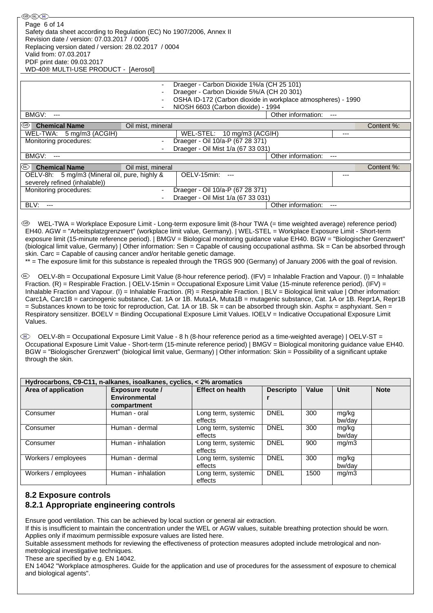| ®®ை<br>Page 6 of 14                                                                                                                                                 |                             |                                                                                                                                                                                                                                                                                                                                                                                                                                                                                                                                                                                                                                                                                                                                                                                                                                                                                                                                                                                                                                                                                                                                                                                                                                                                                                                                                                                                                                                                                                                                                                                                                 |                    |       |                          |             |
|---------------------------------------------------------------------------------------------------------------------------------------------------------------------|-----------------------------|-----------------------------------------------------------------------------------------------------------------------------------------------------------------------------------------------------------------------------------------------------------------------------------------------------------------------------------------------------------------------------------------------------------------------------------------------------------------------------------------------------------------------------------------------------------------------------------------------------------------------------------------------------------------------------------------------------------------------------------------------------------------------------------------------------------------------------------------------------------------------------------------------------------------------------------------------------------------------------------------------------------------------------------------------------------------------------------------------------------------------------------------------------------------------------------------------------------------------------------------------------------------------------------------------------------------------------------------------------------------------------------------------------------------------------------------------------------------------------------------------------------------------------------------------------------------------------------------------------------------|--------------------|-------|--------------------------|-------------|
| Safety data sheet according to Regulation (EC) No 1907/2006, Annex II                                                                                               |                             |                                                                                                                                                                                                                                                                                                                                                                                                                                                                                                                                                                                                                                                                                                                                                                                                                                                                                                                                                                                                                                                                                                                                                                                                                                                                                                                                                                                                                                                                                                                                                                                                                 |                    |       |                          |             |
| Revision date / version: 07.03.2017 / 0005                                                                                                                          |                             |                                                                                                                                                                                                                                                                                                                                                                                                                                                                                                                                                                                                                                                                                                                                                                                                                                                                                                                                                                                                                                                                                                                                                                                                                                                                                                                                                                                                                                                                                                                                                                                                                 |                    |       |                          |             |
| Replacing version dated / version: 28.02.2017 / 0004                                                                                                                |                             |                                                                                                                                                                                                                                                                                                                                                                                                                                                                                                                                                                                                                                                                                                                                                                                                                                                                                                                                                                                                                                                                                                                                                                                                                                                                                                                                                                                                                                                                                                                                                                                                                 |                    |       |                          |             |
| Valid from: 07.03.2017<br>PDF print date: 09.03.2017                                                                                                                |                             |                                                                                                                                                                                                                                                                                                                                                                                                                                                                                                                                                                                                                                                                                                                                                                                                                                                                                                                                                                                                                                                                                                                                                                                                                                                                                                                                                                                                                                                                                                                                                                                                                 |                    |       |                          |             |
| WD-40® MULTI-USE PRODUCT - [Aerosol]                                                                                                                                |                             |                                                                                                                                                                                                                                                                                                                                                                                                                                                                                                                                                                                                                                                                                                                                                                                                                                                                                                                                                                                                                                                                                                                                                                                                                                                                                                                                                                                                                                                                                                                                                                                                                 |                    |       |                          |             |
|                                                                                                                                                                     |                             |                                                                                                                                                                                                                                                                                                                                                                                                                                                                                                                                                                                                                                                                                                                                                                                                                                                                                                                                                                                                                                                                                                                                                                                                                                                                                                                                                                                                                                                                                                                                                                                                                 |                    |       |                          |             |
|                                                                                                                                                                     |                             | Draeger - Carbon Dioxide 1%/a (CH 25 101)                                                                                                                                                                                                                                                                                                                                                                                                                                                                                                                                                                                                                                                                                                                                                                                                                                                                                                                                                                                                                                                                                                                                                                                                                                                                                                                                                                                                                                                                                                                                                                       |                    |       |                          |             |
|                                                                                                                                                                     |                             | Draeger - Carbon Dioxide 5%/A (CH 20 301)<br>OSHA ID-172 (Carbon dioxide in workplace atmospheres) - 1990                                                                                                                                                                                                                                                                                                                                                                                                                                                                                                                                                                                                                                                                                                                                                                                                                                                                                                                                                                                                                                                                                                                                                                                                                                                                                                                                                                                                                                                                                                       |                    |       |                          |             |
|                                                                                                                                                                     |                             | NIOSH 6603 (Carbon dioxide) - 1994                                                                                                                                                                                                                                                                                                                                                                                                                                                                                                                                                                                                                                                                                                                                                                                                                                                                                                                                                                                                                                                                                                                                                                                                                                                                                                                                                                                                                                                                                                                                                                              |                    |       |                          |             |
| BMGV:<br>$\overline{\phantom{a}}$                                                                                                                                   |                             |                                                                                                                                                                                                                                                                                                                                                                                                                                                                                                                                                                                                                                                                                                                                                                                                                                                                                                                                                                                                                                                                                                                                                                                                                                                                                                                                                                                                                                                                                                                                                                                                                 | Other information: |       | $---$                    |             |
| ©B)<br><b>Chemical Name</b>                                                                                                                                         | Oil mist, mineral           |                                                                                                                                                                                                                                                                                                                                                                                                                                                                                                                                                                                                                                                                                                                                                                                                                                                                                                                                                                                                                                                                                                                                                                                                                                                                                                                                                                                                                                                                                                                                                                                                                 |                    |       |                          | Content %:  |
| WEL-TWA: 5 mg/m3 (ACGIH)                                                                                                                                            |                             | WEL-STEL: 10 mg/m3 (ACGIH)                                                                                                                                                                                                                                                                                                                                                                                                                                                                                                                                                                                                                                                                                                                                                                                                                                                                                                                                                                                                                                                                                                                                                                                                                                                                                                                                                                                                                                                                                                                                                                                      |                    |       | $---$                    |             |
| Monitoring procedures:                                                                                                                                              |                             | Draeger - Oil 10/a-P (67 28 371)                                                                                                                                                                                                                                                                                                                                                                                                                                                                                                                                                                                                                                                                                                                                                                                                                                                                                                                                                                                                                                                                                                                                                                                                                                                                                                                                                                                                                                                                                                                                                                                |                    |       |                          |             |
|                                                                                                                                                                     |                             | Draeger - Oil Mist 1/a (67 33 031)                                                                                                                                                                                                                                                                                                                                                                                                                                                                                                                                                                                                                                                                                                                                                                                                                                                                                                                                                                                                                                                                                                                                                                                                                                                                                                                                                                                                                                                                                                                                                                              |                    |       |                          |             |
| BMGV:<br>$\overline{a}$                                                                                                                                             |                             |                                                                                                                                                                                                                                                                                                                                                                                                                                                                                                                                                                                                                                                                                                                                                                                                                                                                                                                                                                                                                                                                                                                                                                                                                                                                                                                                                                                                                                                                                                                                                                                                                 | Other information: |       | $---$                    |             |
| [RL)  <br><b>Chemical Name</b>                                                                                                                                      | Oil mist, mineral           |                                                                                                                                                                                                                                                                                                                                                                                                                                                                                                                                                                                                                                                                                                                                                                                                                                                                                                                                                                                                                                                                                                                                                                                                                                                                                                                                                                                                                                                                                                                                                                                                                 |                    |       |                          | Content %:  |
| OELV-8h: 5 mg/m3 (Mineral oil, pure, highly &<br>severely refined (inhalable))                                                                                      |                             | OELV-15min:<br>----                                                                                                                                                                                                                                                                                                                                                                                                                                                                                                                                                                                                                                                                                                                                                                                                                                                                                                                                                                                                                                                                                                                                                                                                                                                                                                                                                                                                                                                                                                                                                                                             |                    |       | ---                      |             |
| Monitoring procedures:                                                                                                                                              | $\overline{\phantom{a}}$    | Draeger - Oil 10/a-P (67 28 371)                                                                                                                                                                                                                                                                                                                                                                                                                                                                                                                                                                                                                                                                                                                                                                                                                                                                                                                                                                                                                                                                                                                                                                                                                                                                                                                                                                                                                                                                                                                                                                                |                    |       |                          |             |
|                                                                                                                                                                     |                             | Draeger - Oil Mist 1/a (67 33 031)                                                                                                                                                                                                                                                                                                                                                                                                                                                                                                                                                                                                                                                                                                                                                                                                                                                                                                                                                                                                                                                                                                                                                                                                                                                                                                                                                                                                                                                                                                                                                                              |                    |       |                          |             |
| BLV:<br>$\overline{a}$                                                                                                                                              |                             |                                                                                                                                                                                                                                                                                                                                                                                                                                                                                                                                                                                                                                                                                                                                                                                                                                                                                                                                                                                                                                                                                                                                                                                                                                                                                                                                                                                                                                                                                                                                                                                                                 | Other information: |       | $\overline{\phantom{a}}$ |             |
|                                                                                                                                                                     |                             |                                                                                                                                                                                                                                                                                                                                                                                                                                                                                                                                                                                                                                                                                                                                                                                                                                                                                                                                                                                                                                                                                                                                                                                                                                                                                                                                                                                                                                                                                                                                                                                                                 |                    |       |                          |             |
| skin. Carc = Capable of causing cancer and/or heritable genetic damage.<br>(U)<br>Values.<br>(M)<br>through the skin.                                               |                             | exposure limit (15-minute reference period).   BMGV = Biological monitoring guidance value EH40. BGW = "Biologischer Grenzwert"<br>(biological limit value, Germany)   Other information: Sen = Capable of causing occupational asthma. Sk = Can be absorbed through<br>** = The exposure limit for this substance is repealed through the TRGS 900 (Germany) of January 2006 with the goal of revision.<br>OELV-8h = Occupational Exposure Limit Value (8-hour reference period). (IFV) = Inhalable Fraction and Vapour. (I) = Inhalable<br>Fraction. (R) = Respirable Fraction.   OELV-15min = Occupational Exposure Limit Value (15-minute reference period). (IFV) =<br>Inhalable Fraction and Vapour. (I) = Inhalable Fraction. $(R)$ = Respirable Fraction.   BLV = Biological limit value   Other information:<br>Carc1A, Carc1B = carcinogenic substance, Cat. 1A or 1B. Muta1A, Muta1B = mutagenic substance, Cat. 1A or 1B. Repr1A, Repr1B<br>= Substances known to be toxic for reproduction, Cat. 1A or 1B. Sk = can be absorbed through skin. Asphx = asphyxiant. Sen =<br>Respiratory sensitizer. BOELV = Binding Occupational Exposure Limit Values. IOELV = Indicative Occupational Exposure Limit<br>OELV-8h = Occupational Exposure Limit Value - 8 h (8-hour reference period as a time-weighted average)   OELV-ST =<br>Occupational Exposure Limit Value - Short-term (15-minute reference period)   BMGV = Biological monitoring guidance value EH40.<br>BGW = "Biologischer Grenzwert" (biological limit value, Germany)   Other information: Skin = Possibility of a significant uptake |                    |       |                          |             |
| Hydrocarbons, C9-C11, n-alkanes, isoalkanes, cyclics, < 2% aromatics                                                                                                |                             |                                                                                                                                                                                                                                                                                                                                                                                                                                                                                                                                                                                                                                                                                                                                                                                                                                                                                                                                                                                                                                                                                                                                                                                                                                                                                                                                                                                                                                                                                                                                                                                                                 |                    |       |                          |             |
| Area of application                                                                                                                                                 | <b>Exposure route /</b>     | <b>Effect on health</b>                                                                                                                                                                                                                                                                                                                                                                                                                                                                                                                                                                                                                                                                                                                                                                                                                                                                                                                                                                                                                                                                                                                                                                                                                                                                                                                                                                                                                                                                                                                                                                                         | <b>Descripto</b>   | Value | <b>Unit</b>              | <b>Note</b> |
|                                                                                                                                                                     | Environmental               |                                                                                                                                                                                                                                                                                                                                                                                                                                                                                                                                                                                                                                                                                                                                                                                                                                                                                                                                                                                                                                                                                                                                                                                                                                                                                                                                                                                                                                                                                                                                                                                                                 | r                  |       |                          |             |
| Consumer                                                                                                                                                            | compartment<br>Human - oral | Long term, systemic                                                                                                                                                                                                                                                                                                                                                                                                                                                                                                                                                                                                                                                                                                                                                                                                                                                                                                                                                                                                                                                                                                                                                                                                                                                                                                                                                                                                                                                                                                                                                                                             | <b>DNEL</b>        | 300   | mg/kg                    |             |
|                                                                                                                                                                     |                             | effects                                                                                                                                                                                                                                                                                                                                                                                                                                                                                                                                                                                                                                                                                                                                                                                                                                                                                                                                                                                                                                                                                                                                                                                                                                                                                                                                                                                                                                                                                                                                                                                                         |                    |       | bw/day                   |             |
| Consumer                                                                                                                                                            | Human - dermal              | Long term, systemic                                                                                                                                                                                                                                                                                                                                                                                                                                                                                                                                                                                                                                                                                                                                                                                                                                                                                                                                                                                                                                                                                                                                                                                                                                                                                                                                                                                                                                                                                                                                                                                             | <b>DNEL</b>        | 300   | mg/kg                    |             |
|                                                                                                                                                                     |                             | effects                                                                                                                                                                                                                                                                                                                                                                                                                                                                                                                                                                                                                                                                                                                                                                                                                                                                                                                                                                                                                                                                                                                                                                                                                                                                                                                                                                                                                                                                                                                                                                                                         |                    |       | bw/day                   |             |
| Consumer                                                                                                                                                            | Human - inhalation          | Long term, systemic<br>effects                                                                                                                                                                                                                                                                                                                                                                                                                                                                                                                                                                                                                                                                                                                                                                                                                                                                                                                                                                                                                                                                                                                                                                                                                                                                                                                                                                                                                                                                                                                                                                                  | <b>DNEL</b>        | 900   | mg/m3                    |             |
| Workers / employees                                                                                                                                                 | Human - dermal              | Long term, systemic                                                                                                                                                                                                                                                                                                                                                                                                                                                                                                                                                                                                                                                                                                                                                                                                                                                                                                                                                                                                                                                                                                                                                                                                                                                                                                                                                                                                                                                                                                                                                                                             | <b>DNEL</b>        | 300   | mg/kg                    |             |
|                                                                                                                                                                     |                             | effects                                                                                                                                                                                                                                                                                                                                                                                                                                                                                                                                                                                                                                                                                                                                                                                                                                                                                                                                                                                                                                                                                                                                                                                                                                                                                                                                                                                                                                                                                                                                                                                                         |                    |       | bw/day                   |             |
| Workers / employees                                                                                                                                                 | Human - inhalation          | Long term, systemic<br>effects                                                                                                                                                                                                                                                                                                                                                                                                                                                                                                                                                                                                                                                                                                                                                                                                                                                                                                                                                                                                                                                                                                                                                                                                                                                                                                                                                                                                                                                                                                                                                                                  | <b>DNEL</b>        | 1500  | mg/m3                    |             |
| <b>8.2 Exposure controls</b><br>8.2.1 Appropriate engineering controls<br>Ensure good ventilation. This can be achieved by local suction or general air extraction. |                             |                                                                                                                                                                                                                                                                                                                                                                                                                                                                                                                                                                                                                                                                                                                                                                                                                                                                                                                                                                                                                                                                                                                                                                                                                                                                                                                                                                                                                                                                                                                                                                                                                 |                    |       |                          |             |

If this is insufficient to maintain the concentration under the WEL or AGW values, suitable breathing protection should be worn. Applies only if maximum permissible exposure values are listed here.

Suitable assessment methods for reviewing the effectiveness of protection measures adopted include metrological and nonmetrological investigative techniques.

These are specified by e.g. EN 14042.

EN 14042 "Workplace atmospheres. Guide for the application and use of procedures for the assessment of exposure to chemical and biological agents".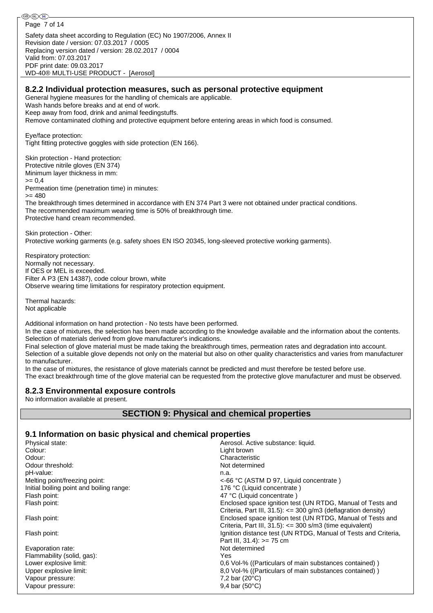֎®© Page 7 of 14Safety data sheet according to Regulation (EC) No 1907/2006, Annex II Revision date / version: 07.03.2017 / 0005 Replacing version dated / version: 28.02.2017 / 0004 Valid from: 07.03.2017 PDF print date: 09.03.2017 WD-40® MULTI-USE PRODUCT - [Aerosol] **8.2.2 Individual protection measures, such as personal protective equipment** General hygiene measures for the handling of chemicals are applicable. Wash hands before breaks and at end of work. Keep away from food, drink and animal feedingstuffs. Remove contaminated clothing and protective equipment before entering areas in which food is consumed. Eye/face protection: Tight fitting protective goggles with side protection (EN 166). Skin protection - Hand protection: Protective nitrile gloves (EN 374) Minimum layer thickness in mm:  $>= 0.4$ Permeation time (penetration time) in minutes: >= 480 The breakthrough times determined in accordance with EN 374 Part 3 were not obtained under practical conditions. The recommended maximum wearing time is 50% of breakthrough time. Protective hand cream recommended. Skin protection - Other: Protective working garments (e.g. safety shoes EN ISO 20345, long-sleeved protective working garments). Respiratory protection: Normally not necessary. If OES or MEL is exceeded. Filter A P3 (EN 14387), code colour brown, white Observe wearing time limitations for respiratory protection equipment. Thermal hazards: Not applicable Additional information on hand protection - No tests have been performed. In the case of mixtures, the selection has been made according to the knowledge available and the information about the contents. Selection of materials derived from glove manufacturer's indications. Final selection of glove material must be made taking the breakthrough times, permeation rates and degradation into account. Selection of a suitable glove depends not only on the material but also on other quality characteristics and varies from manufacturer to manufacturer. In the case of mixtures, the resistance of glove materials cannot be predicted and must therefore be tested before use. The exact breakthrough time of the glove material can be requested from the protective glove manufacturer and must be observed. **8.2.3 Environmental exposure controls** No information available at present. **SECTION 9: Physical and chemical properties**

## **9.1 Information on basic physical and chemical properties**

| Physical state:                          | Aerosol. Active substance: liquid.                             |
|------------------------------------------|----------------------------------------------------------------|
| Colour:                                  | Light brown                                                    |
| Odour:                                   | Characteristic                                                 |
| Odour threshold:                         | Not determined                                                 |
| pH-value:                                | n.a.                                                           |
| Melting point/freezing point:            | <-66 °C (ASTM D 97, Liquid concentrate)                        |
| Initial boiling point and boiling range: | 176 °C (Liquid concentrate)                                    |
| Flash point:                             | 47 °C (Liquid concentrate)                                     |
| Flash point:                             | Enclosed space ignition test (UN RTDG, Manual of Tests and     |
|                                          | Criteria, Part III, 31.5): <= 300 g/m3 (deflagration density)  |
| Flash point:                             | Enclosed space ignition test (UN RTDG, Manual of Tests and     |
|                                          | Criteria, Part III, $31.5$ : $\leq$ 300 s/m3 (time equivalent) |
| Flash point:                             | Ignition distance test (UN RTDG, Manual of Tests and Criteria, |
|                                          | Part III, $31.4$ ): $>= 75$ cm                                 |
| Evaporation rate:                        | Not determined                                                 |
| Flammability (solid, gas):               | Yes                                                            |
| Lower explosive limit:                   | 0,6 Vol-% ((Particulars of main substances contained))         |
| Upper explosive limit:                   | 8.0 Vol-% ((Particulars of main substances contained))         |
| Vapour pressure:                         | 7,2 bar $(20^{\circ}C)$                                        |
| Vapour pressure:                         | $9,4$ bar (50 $^{\circ}$ C)                                    |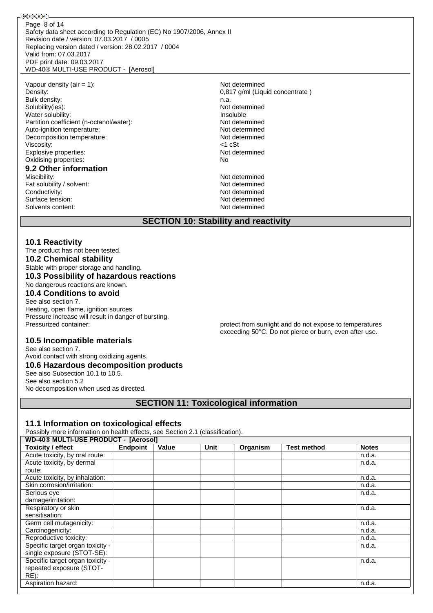Safety data sheet according to Regulation (EC) No 1907/2006, Annex II Revision date / version: 07.03.2017 / 0005 Replacing version dated / version: 28.02.2017 / 0004 Valid from: 07.03.2017 PDF print date: 09.03.2017 WD-40® MULTI-USE PRODUCT - [Aerosol] Page 8 of 14

Vapour density  $(air = 1)$ :  $Not determined$ Density: 0,817 g/ml (Liquid concentrate ) Bulk density: n.a.<br>Solubility(ies): n.a. Not Water solubility: **Insoluble** Partition coefficient (n-octanol/water): Not determined Auto-ignition temperature: Not determined Decomposition temperature: Not determined Viscosity:  $\leftarrow$  1 cSt  $\leftarrow$  1 cSt  $\leftarrow$  1 cSt  $\leftarrow$  1 cSt  $\leftarrow$  1 cSt  $\leftarrow$  1 cSt  $\leftarrow$  1 cSt  $\leftarrow$  1 cSt  $\leftarrow$  1 cSt  $\leftarrow$  1 cSt  $\leftarrow$  1 cSt  $\leftarrow$  1 cSt  $\leftarrow$  1 cSt  $\leftarrow$  1 cSt  $\leftarrow$  1 cSt  $\leftarrow$  1 cSt  $\leftarrow$  1 cSt  $\leftarrow$  1 Explosive properties: Oxidising properties: No **9.2 Other information** Miscibility: Not determined Fat solubility / solvent: Not determined Conductivity: Conductivity: Conductivity: Surface tension: Not determined Solvents content: Not determined

Not determined

### **SECTION 10: Stability and reactivity**

#### **10.1 Reactivity**

֎֎֎

RE):

The product has not been tested. **10.2 Chemical stability** Stable with proper storage and handling. **10.3 Possibility of hazardous reactions** No dangerous reactions are known. **10.4 Conditions to avoid** See also section 7.

Heating, open flame, ignition sources Pressure increase will result in danger of bursting. Pressurized container: protect from sunlight and do not expose to temperatures

exceeding 50°C. Do not pierce or burn, even after use.

 $n.d.a.$ 

 $n.d.a.$ 

n.d.a.

### **10.5 Incompatible materials**

See also section 7. Avoid contact with strong oxidizing agents. **10.6 Hazardous decomposition products** See also Subsection 10.1 to 10.5. See also section 5.2 No decomposition when used as directed.

**SECTION 11: Toxicological information**

#### **11.1 Information on toxicological effects**

Possibly more information on health effects, see Section 2.1 (classification).

**WD-40® MULTI-USE PRODUCT - [Aerosol] Toxicity / effect Endpoint Value Unit Organism Test method Notes** Acute toxicity, by oral route: networking the control of the control of the control of the control of the control of the control of the control of the control of the control of the control of the control of the control of Acute toxicity, by dermal route: Acute toxicity, by inhalation: networks are not all the control of the control of the control of the control of the control of the control of the control of the control of the control of the control of the control of the c Skin corrosion/irritation: n.d.a. Serious eye damage/irritation: Respiratory or skin sensitisation:

Germ cell mutagenicity: networks are not contained by the contact of the contact of the contact of the contact of the contact of the contact of the contact of the contact of the contact of the contact of the contact of the Carcinogenicity: n.d.a. n.d.a. n.d.a. n.d.a. n.d.a. n.d.a. n.d.a. n.d.a. n.d.a. n.d.a. n.d.a. n.d.a. n.d.a. n.d.a. n.d.a. n.d.a. n.d.a. n.d.a. n.d.a. n.d.a. n.d.a. n.d.a. n.d.a. n.d.a. n.d.a. n.d.a. n.d.a. n.d.a. n.d.a. n. Reproductive toxicity: Specific target organ toxicity single exposure (STOT-SE): n.d.a. Specific target organ toxicity repeated exposure (STOTn.d.a. Aspiration hazard: n.d.a. a.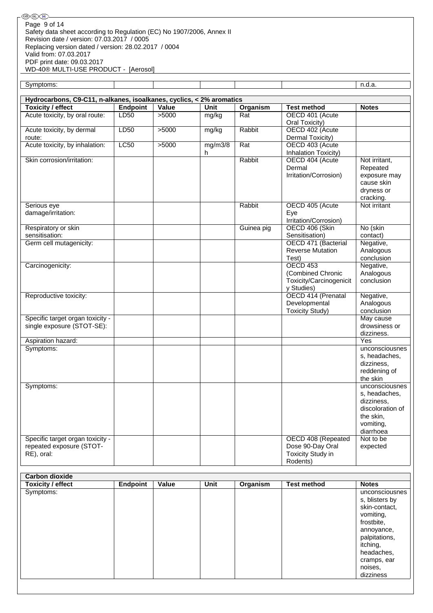®®® Page 9 of 14Safety data sheet according to Regulation (EC) No 1907/2006, Annex II Revision date / version: 07.03.2017 / 0005 Replacing version dated / version: 28.02.2017 / 0004 Valid from: 07.03.2017 PDF print date: 09.03.2017 WD-40® MULTI-USE PRODUCT - [Aerosol]

Symptoms: n.d.a.

| Hydrocarbons, C9-C11, n-alkanes, isoalkanes, cyclics, < 2% aromatics       |                 |       |              |                 |                                                                                |                                                                                                          |  |
|----------------------------------------------------------------------------|-----------------|-------|--------------|-----------------|--------------------------------------------------------------------------------|----------------------------------------------------------------------------------------------------------|--|
| <b>Toxicity / effect</b>                                                   | <b>Endpoint</b> | Value | <b>Unit</b>  | <b>Organism</b> | <b>Test method</b>                                                             | <b>Notes</b>                                                                                             |  |
| Acute toxicity, by oral route:                                             | <b>LD50</b>     | >5000 | mg/kg        | Rat             | OECD 401 (Acute<br>Oral Toxicity)                                              |                                                                                                          |  |
| Acute toxicity, by dermal<br>route:                                        | LD50            | >5000 | mg/kg        | Rabbit          | OECD 402 (Acute<br>Dermal Toxicity)                                            |                                                                                                          |  |
| Acute toxicity, by inhalation:                                             | LC50            | >5000 | mg/m3/8<br>h | Rat             | OECD 403 (Acute<br><b>Inhalation Toxicity)</b>                                 |                                                                                                          |  |
| Skin corrosion/irritation:                                                 |                 |       |              | Rabbit          | OECD 404 (Acute<br>Dermal<br>Irritation/Corrosion)                             | Not irritant,<br>Repeated<br>exposure may<br>cause skin<br>dryness or<br>cracking.                       |  |
| Serious eye<br>damage/irritation:                                          |                 |       |              | Rabbit          | OECD 405 (Acute<br>Eye<br>Irritation/Corrosion)                                | Not irritant                                                                                             |  |
| Respiratory or skin<br>sensitisation:                                      |                 |       |              | Guinea pig      | OECD 406 (Skin<br>Sensitisation)                                               | No (skin<br>contact)                                                                                     |  |
| Germ cell mutagenicity:                                                    |                 |       |              |                 | OECD 471 (Bacterial<br><b>Reverse Mutation</b><br>Test)                        | Negative,<br>Analogous<br>conclusion                                                                     |  |
| Carcinogenicity:                                                           |                 |       |              |                 | <b>OECD 453</b><br>(Combined Chronic<br>Toxicity/Carcinogenicit<br>y Studies)  | Negative,<br>Analogous<br>conclusion                                                                     |  |
| Reproductive toxicity:                                                     |                 |       |              |                 | OECD 414 (Prenatal<br>Developmental<br><b>Toxicity Study)</b>                  | Negative,<br>Analogous<br>conclusion                                                                     |  |
| Specific target organ toxicity -<br>single exposure (STOT-SE):             |                 |       |              |                 |                                                                                | May cause<br>drowsiness or<br>dizziness.                                                                 |  |
| Aspiration hazard:                                                         |                 |       |              |                 |                                                                                | Yes                                                                                                      |  |
| Symptoms:                                                                  |                 |       |              |                 |                                                                                | unconsciousnes<br>s, headaches,<br>dizziness,<br>reddening of<br>the skin                                |  |
| Symptoms:                                                                  |                 |       |              |                 |                                                                                | unconsciousnes<br>s, headaches,<br>dizziness,<br>discoloration of<br>the skin,<br>vomiting,<br>diarrhoea |  |
| Specific target organ toxicity -<br>repeated exposure (STOT-<br>RE), oral: |                 |       |              |                 | OECD 408 (Repeated<br>Dose 90-Day Oral<br><b>Toxicity Study in</b><br>Rodents) | Not to be<br>expected                                                                                    |  |
| <b>Carbon dioxide</b>                                                      |                 |       |              |                 |                                                                                |                                                                                                          |  |

| <b>CALDULL UIUXIUS</b><br><b>Toxicity / effect</b> | <b>Endpoint</b> | Value | <b>Unit</b> | Organism | <b>Test method</b> | <b>Notes</b>   |
|----------------------------------------------------|-----------------|-------|-------------|----------|--------------------|----------------|
| Symptoms:                                          |                 |       |             |          |                    | unconsciousnes |
|                                                    |                 |       |             |          |                    | s, blisters by |
|                                                    |                 |       |             |          |                    | skin-contact,  |
|                                                    |                 |       |             |          |                    | vomiting,      |
|                                                    |                 |       |             |          |                    | frostbite,     |
|                                                    |                 |       |             |          |                    | annoyance,     |
|                                                    |                 |       |             |          |                    | palpitations,  |
|                                                    |                 |       |             |          |                    | itching,       |
|                                                    |                 |       |             |          |                    | headaches,     |
|                                                    |                 |       |             |          |                    | cramps, ear    |
|                                                    |                 |       |             |          |                    | noises,        |
|                                                    |                 |       |             |          |                    | dizziness      |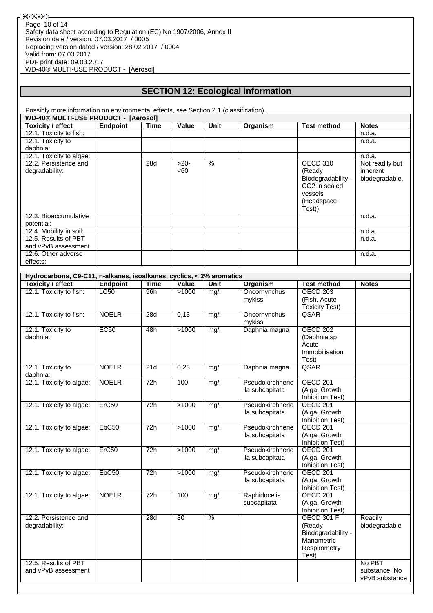## **SECTION 12: Ecological information**

Possibly more information on environmental effects, see Section 2.1 (classification).

| <b>WD-40® MULTI-USE PRODUCT - [Aerosol]</b> |          |      |        |      |          |                           |                 |
|---------------------------------------------|----------|------|--------|------|----------|---------------------------|-----------------|
| Toxicity / effect                           | Endpoint | Time | Value  | Unit | Organism | <b>Test method</b>        | <b>Notes</b>    |
| 12.1. Toxicity to fish:                     |          |      |        |      |          |                           | n.d.a.          |
| 12.1. Toxicity to                           |          |      |        |      |          |                           | n.d.a.          |
| daphnia:                                    |          |      |        |      |          |                           |                 |
| 12.1. Toxicity to algae:                    |          |      |        |      |          |                           | n.d.a.          |
| 12.2. Persistence and                       |          | 28d  | $>20-$ | $\%$ |          | OECD 310                  | Not readily but |
| degradability:                              |          |      | <60    |      |          | (Ready                    | inherent        |
|                                             |          |      |        |      |          | Biodegradability -        | biodegradable.  |
|                                             |          |      |        |      |          | CO <sub>2</sub> in sealed |                 |
|                                             |          |      |        |      |          | vessels                   |                 |
|                                             |          |      |        |      |          | (Headspace                |                 |
|                                             |          |      |        |      |          | Test))                    |                 |
| 12.3. Bioaccumulative                       |          |      |        |      |          |                           | n.d.a.          |
| potential:                                  |          |      |        |      |          |                           |                 |
| 12.4. Mobility in soil:                     |          |      |        |      |          |                           | n.d.a.          |
| 12.5. Results of PBT                        |          |      |        |      |          |                           | n.d.a.          |
| and vPvB assessment                         |          |      |        |      |          |                           |                 |
| 12.6. Other adverse                         |          |      |        |      |          |                           | n.d.a.          |
| effects:                                    |          |      |        |      |          |                           |                 |

| Hydrocarbons, C9-C11, n-alkanes, isoalkanes, cyclics, < 2% aromatics |                 |                  |       |                          |                                     |                                                                                          |                                           |  |
|----------------------------------------------------------------------|-----------------|------------------|-------|--------------------------|-------------------------------------|------------------------------------------------------------------------------------------|-------------------------------------------|--|
| <b>Toxicity / effect</b>                                             | <b>Endpoint</b> | <b>Time</b>      | Value | Unit                     | Organism                            | <b>Test method</b>                                                                       | <b>Notes</b>                              |  |
| 12.1. Toxicity to fish:                                              | <b>LC50</b>     | 96h              | >1000 | mg/l                     | Oncorhynchus<br>mykiss              | OECD <sub>203</sub><br>(Fish, Acute<br><b>Toxicity Test)</b>                             |                                           |  |
| 12.1. Toxicity to fish:                                              | <b>NOELR</b>    | $\overline{28}d$ | 0,13  | mg/l                     | Oncorhynchus<br>mykiss              | QSAR                                                                                     |                                           |  |
| 12.1. Toxicity to<br>daphnia:                                        | EC50            | 48h              | >1000 | mg/l                     | Daphnia magna                       | <b>OECD 202</b><br>(Daphnia sp.<br>Acute<br>Immobilisation<br>Test)                      |                                           |  |
| 12.1. Toxicity to<br>daphnia:                                        | <b>NOELR</b>    | 21d              | 0,23  | mg/l                     | Daphnia magna                       | QSAR                                                                                     |                                           |  |
| 12.1. Toxicity to algae:                                             | <b>NOELR</b>    | 72h              | 100   | mg/l                     | Pseudokirchnerie<br>lla subcapitata | <b>OECD 201</b><br>(Alga, Growth<br><b>Inhibition Test)</b>                              |                                           |  |
| 12.1. Toxicity to algae:                                             | Erc50           | 72h              | >1000 | mg/l                     | Pseudokirchnerie<br>lla subcapitata | <b>OECD 201</b><br>(Alga, Growth<br><b>Inhibition Test)</b>                              |                                           |  |
| 12.1. Toxicity to algae:                                             | EbC50           | 72h              | >1000 | mg/l                     | Pseudokirchnerie<br>lla subcapitata | <b>OECD 201</b><br>(Alga, Growth<br><b>Inhibition Test)</b>                              |                                           |  |
| 12.1. Toxicity to algae:                                             | Erc50           | 72h              | >1000 | mg/l                     | Pseudokirchnerie<br>lla subcapitata | <b>OECD 201</b><br>(Alga, Growth<br><b>Inhibition Test)</b>                              |                                           |  |
| 12.1. Toxicity to algae:                                             | EbC50           | 72h              | >1000 | mg/l                     | Pseudokirchnerie<br>lla subcapitata | <b>OECD 201</b><br>(Alga, Growth<br>Inhibition Test)                                     |                                           |  |
| 12.1. Toxicity to algae:                                             | <b>NOELR</b>    | 72h              | 100   | mg/l                     | Raphidocelis<br>subcapitata         | OECD <sub>201</sub><br>(Alga, Growth<br>Inhibition Test)                                 |                                           |  |
| 12.2. Persistence and<br>degradability:                              |                 | 28d              | 80    | $\overline{\frac{9}{6}}$ |                                     | <b>OECD 301 F</b><br>(Ready<br>Biodegradability -<br>Manometric<br>Respirometry<br>Test) | Readily<br>biodegradable                  |  |
| 12.5. Results of PBT<br>and vPvB assessment                          |                 |                  |       |                          |                                     |                                                                                          | No PBT<br>substance, No<br>vPvB substance |  |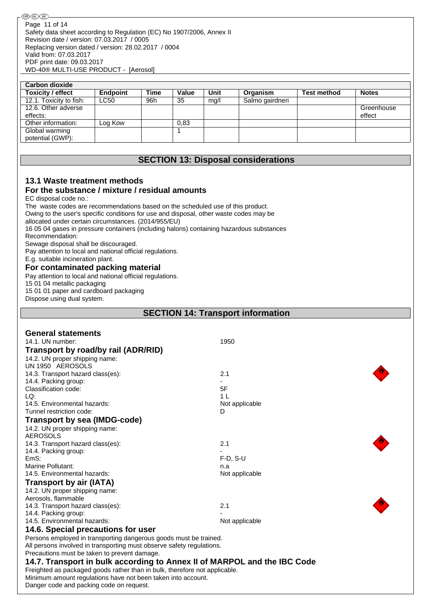| <b>Carbon dioxide</b>   |                 |             |       |      |                 |                    |              |
|-------------------------|-----------------|-------------|-------|------|-----------------|--------------------|--------------|
| Toxicity / effect       | <b>Endpoint</b> | <b>Time</b> | Value | Unit | Organism        | <b>Test method</b> | <b>Notes</b> |
| 12.1. Toxicity to fish: | <b>LC50</b>     | 96h         | 35    | mq/l | Salmo gairdneri |                    |              |
| 12.6. Other adverse     |                 |             |       |      |                 |                    | Greenhouse   |
| effects:                |                 |             |       |      |                 |                    | effect       |
| Other information:      | Log Kow         |             | 0,83  |      |                 |                    |              |
| Global warming          |                 |             |       |      |                 |                    |              |
| potential (GWP):        |                 |             |       |      |                 |                    |              |

## **SECTION 13: Disposal considerations**

## **13.1 Waste treatment methods**

## **For the substance / mixture / residual amounts**

EC disposal code no.:

The waste codes are recommendations based on the scheduled use of this product.

Owing to the user's specific conditions for use and disposal, other waste codes may be

allocated under certain circumstances. (2014/955/EU)

16 05 04 gases in pressure containers (including halons) containing hazardous substances

Recommendation:

Sewage disposal shall be discouraged.

Pay attention to local and national official regulations.

E.g. suitable incineration plant.

## **For contaminated packing material**

Pay attention to local and national official regulations.

15 01 04 metallic packaging

15 01 01 paper and cardboard packaging

Dispose using dual system.

## **SECTION 14: Transport information**

| <b>General statements</b>                                                  |                |
|----------------------------------------------------------------------------|----------------|
| 14.1. UN number:                                                           | 1950           |
| Transport by road/by rail (ADR/RID)                                        |                |
| 14.2. UN proper shipping name:                                             |                |
| UN 1950 AEROSOLS                                                           |                |
| 14.3. Transport hazard class(es):                                          | 2.1            |
| 14.4. Packing group:                                                       |                |
| Classification code:                                                       | 5F             |
| LQ:                                                                        | 1 <sub>L</sub> |
| 14.5. Environmental hazards:                                               | Not applicable |
| Tunnel restriction code:                                                   | D              |
| <b>Transport by sea (IMDG-code)</b>                                        |                |
| 14.2. UN proper shipping name:                                             |                |
| <b>AEROSOLS</b>                                                            |                |
| 14.3. Transport hazard class(es):                                          | 2.1            |
| 14.4. Packing group:                                                       |                |
| EmS:                                                                       | $F-D$ , S-U    |
| Marine Pollutant:                                                          | n.a            |
| 14.5. Environmental hazards:                                               | Not applicable |
| Transport by air (IATA)                                                    |                |
| 14.2. UN proper shipping name:                                             |                |
| Aerosols, flammable                                                        |                |
| 14.3. Transport hazard class(es):                                          | 2.1            |
| 14.4. Packing group:                                                       |                |
| 14.5. Environmental hazards:                                               | Not applicable |
| 14.6. Special precautions for user                                         |                |
| Persons employed in transporting dangerous goods must be trained.          |                |
| All persons involved in transporting must observe safety regulations.      |                |
| Precautions must be taken to prevent damage.                               |                |
| 14.7. Transport in bulk according to Annex II of MARPOL and the IBC Code   |                |
| Freighted as packaged goods rather than in bulk, therefore not applicable. |                |
| Minimum amount regulations have not been taken into account.               |                |
| Danger code and packing code on request.                                   |                |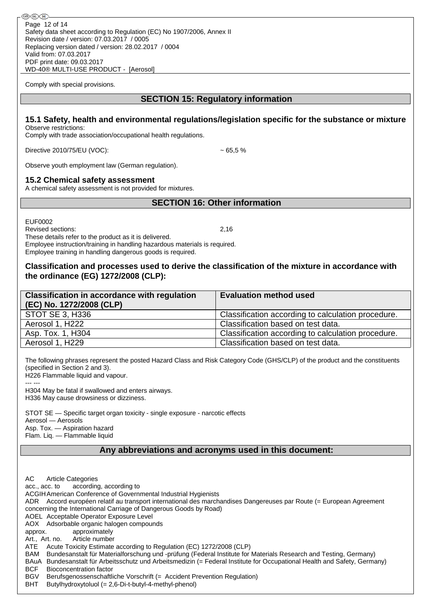Comply with special provisions.

## **SECTION 15: Regulatory information**

## **15.1 Safety, health and environmental regulations/legislation specific for the substance or mixture**

Observe restrictions: Comply with trade association/occupational health regulations.

Directive 2010/75/EU (VOC): ~ 65,5 %

Observe youth employment law (German regulation).

### **15.2 Chemical safety assessment**

A chemical safety assessment is not provided for mixtures.

## **SECTION 16: Other information**

EUF0002

Revised sections: 2,16

These details refer to the product as it is delivered. Employee instruction/training in handling hazardous materials is required. Employee training in handling dangerous goods is required.

## **Classification and processes used to derive the classification of the mixture in accordance with the ordinance (EG) 1272/2008 (CLP):**

| <b>Classification in accordance with regulation</b><br>(EC) No. 1272/2008 (CLP) | <b>Evaluation method used</b>                      |
|---------------------------------------------------------------------------------|----------------------------------------------------|
| <b>STOT SE 3, H336</b>                                                          | Classification according to calculation procedure. |
| Aerosol 1, H222                                                                 | Classification based on test data.                 |
| Asp. Tox. 1, H304                                                               | Classification according to calculation procedure. |
| Aerosol 1, H229                                                                 | Classification based on test data.                 |

The following phrases represent the posted Hazard Class and Risk Category Code (GHS/CLP) of the product and the constituents (specified in Section 2 and 3).

H226 Flammable liquid and vapour.

--- --- H304 May be fatal if swallowed and enters airways. H336 May cause drowsiness or dizziness.

STOT SE — Specific target organ toxicity - single exposure - narcotic effects Aerosol — Aerosols Asp. Tox. — Aspiration hazard Flam. Liq. — Flammable liquid

## **Any abbreviations and acronyms used in this document:**

AC Article Categories acc., acc. to according, according to ACGIHAmerican Conference of Governmental Industrial Hygienists ADR Accord européen relatif au transport international des marchandises Dangereuses par Route (= European Agreement concerning the International Carriage of Dangerous Goods by Road) AOEL Acceptable Operator Exposure Level AOX Adsorbable organic halogen compounds approx. approximately Art., Art. no. Article number ATE Acute Toxicity Estimate according to Regulation (EC) 1272/2008 (CLP) BAM Bundesanstalt für Materialforschung und -prüfung (Federal Institute for Materials Research and Testing, Germany) BAuA Bundesanstalt für Arbeitsschutz und Arbeitsmedizin (= Federal Institute for Occupational Health and Safety, Germany) BCF Bioconcentration factor<br>BGV Berufsgenossenschaftli Berufsgenossenschaftliche Vorschrift (= Accident Prevention Regulation) BHT Butylhydroxytoluol (= 2,6-Di-t-butyl-4-methyl-phenol)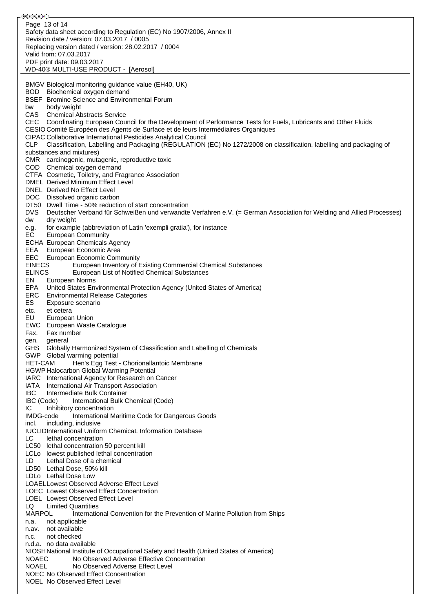֍֎֎ Page 13 of 14Safety data sheet according to Regulation (EC) No 1907/2006, Annex II Revision date / version: 07.03.2017 / 0005 Replacing version dated / version: 28.02.2017 / 0004 Valid from: 07.03.2017 PDF print date: 09.03.2017 WD-40® MULTI-USE PRODUCT - [Aerosol] BMGV Biological monitoring guidance value (EH40, UK) BOD Biochemical oxygen demand BSEF Bromine Science and Environmental Forum bw body weight CAS Chemical Abstracts Service CEC Coordinating European Council for the Development of Performance Tests for Fuels, Lubricants and Other Fluids CESIO Comité Européen des Agents de Surface et de leurs Intermédiaires Organiques CIPAC Collaborative International Pesticides Analytical Council CLP Classification, Labelling and Packaging (REGULATION (EC) No 1272/2008 on classification, labelling and packaging of substances and mixtures) CMR carcinogenic, mutagenic, reproductive toxic COD Chemical oxygen demand CTFA Cosmetic, Toiletry, and Fragrance Association DMEL Derived Minimum Effect Level DNEL Derived No Effect Level DOC Dissolved organic carbon DT50 Dwell Time - 50% reduction of start concentration DVS Deutscher Verband für Schweißen und verwandte Verfahren e.V. (= German Association for Welding and Allied Processes) dw dry weight e.g. for example (abbreviation of Latin 'exempli gratia'), for instance EC European Community ECHA European Chemicals Agency EEA European Economic Area EEC European Economic Community EINECS European Inventory of Existing Commercial Chemical Substances ELINCS European List of Notified Chemical Substances EN European Norms EPA United States Environmental Protection Agency (United States of America) ERC Environmental Release Categories ES Exposure scenario etc. et cetera EU European Union EWC European Waste Catalogue Fax. Fax number gen. general GHS Globally Harmonized System of Classification and Labelling of Chemicals GWP Global warming potential HET-CAM Hen's Egg Test - Chorionallantoic Membrane HGWP Halocarbon Global Warming Potential IARC International Agency for Research on Cancer IATA International Air Transport Association IBC Intermediate Bulk Container IBC (Code) International Bulk Chemical (Code) IC Inhibitory concentration IMDG-code International Maritime Code for Dangerous Goods incl. including, inclusive IUCLIDInternational Uniform ChemicaL Information Database LC lethal concentration LC50 lethal concentration 50 percent kill LCLo lowest published lethal concentration LD Lethal Dose of a chemical LD50 Lethal Dose, 50% kill LDLo Lethal Dose Low LOAELLowest Observed Adverse Effect Level LOEC Lowest Observed Effect Concentration LOEL Lowest Observed Effect Level LQ Limited Quantities<br>MARPOL Internatic International Convention for the Prevention of Marine Pollution from Ships n.a. not applicable n.av. not available n.c. not checked n.d.a. no data available NIOSHNational Institute of Occupational Safety and Health (United States of America) NOAEC No Observed Adverse Effective Concentration NOAEL No Observed Adverse Effect Level NOEC No Observed Effect Concentration NOEL No Observed Effect Level